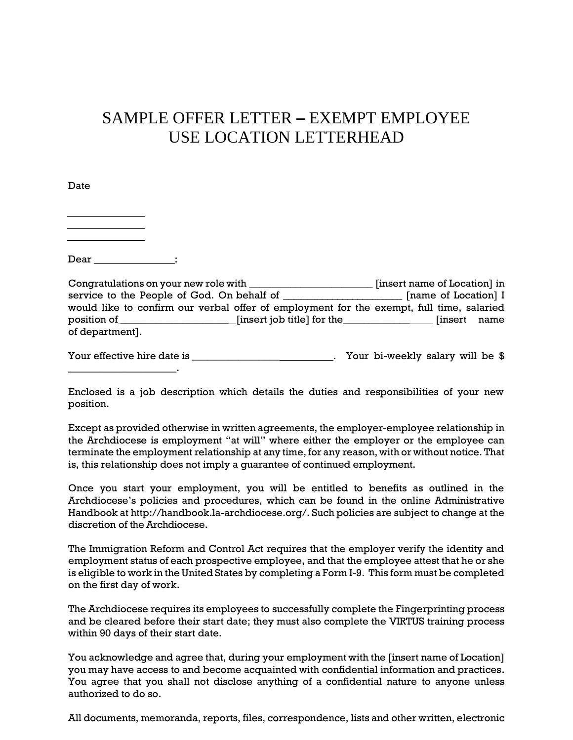## SAMPLE OFFER LETTER – EXEMPT EMPLOYEE USE LOCATION LETTERHEAD

Date

Dear \_\_\_\_\_\_\_\_\_\_\_\_\_\_\_:

| Congratulations on your new role with |                                                                                          | [insert name of Location] in |
|---------------------------------------|------------------------------------------------------------------------------------------|------------------------------|
|                                       | service to the People of God. On behalf of                                               | [name of Location] I         |
|                                       | would like to confirm our verbal offer of employment for the exempt, full time, salaried |                              |
| position of                           | [insert job title] for the                                                               | <b>finsert</b><br>name       |
| of department.                        |                                                                                          |                              |

Your effective hire date is \_\_\_\_\_\_\_\_\_\_\_\_\_\_\_\_\_\_\_\_\_\_\_\_\_\_\_\_\_\_\_. Your bi-weekly salary will be \$ \_\_\_\_\_\_\_\_\_\_\_\_\_\_\_\_\_\_\_\_\_.

Enclosed is a job description which details the duties and responsibilities of your new position.

Except as provided otherwise in written agreements, the employer-employee relationship in the Archdiocese is employment "at will" where either the employer or the employee can terminate the employment relationship at any time, for any reason, with or without notice. That is, this relationship does not imply a guarantee of continued employment.

Once you start your employment, you will be entitled to benefits as outlined in the Archdiocese's policies and procedures, which can be found in the online Administrative Handbook at http://handbook.la-archdiocese.org/. Such policies are subject to change at the discretion of the Archdiocese.

The Immigration Reform and Control Act requires that the employer verify the identity and employment status of each prospective employee, and that the employee attest that he or she is eligible to work in the United States by completing a Form I-9. This form must be completed on the first day of work.

The Archdiocese requires its employees to successfully complete the Fingerprinting process and be cleared before their start date; they must also complete the VIRTUS training process within 90 days of their start date.

You acknowledge and agree that, during your employment with the [insert name of Location] you may have access to and become acquainted with confidential information and practices. You agree that you shall not disclose anything of a confidential nature to anyone unless authorized to do so.

All documents, memoranda, reports, files, correspondence, lists and other written, electronic